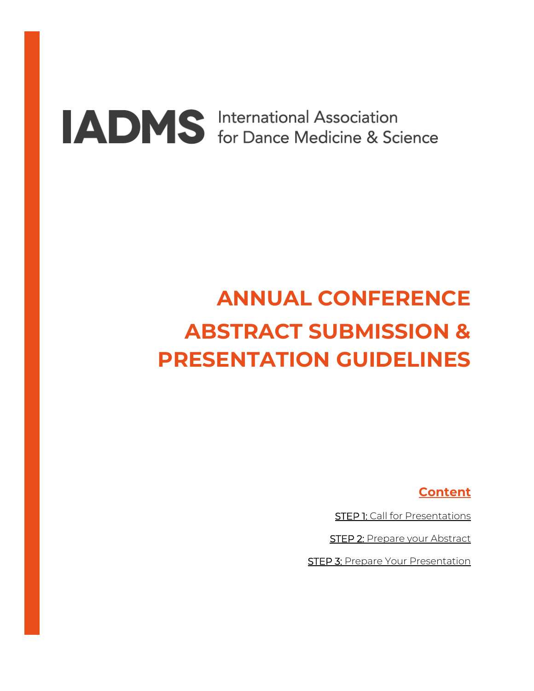# **ADMS** International Association<br>for Dance Medicine & Science

### **ANNUAL CONFERENCE ABSTRACT SUBMISSION & PRESENTATION GUIDELINES**

**Content**

**STEP 1: [Call for Presentations](#page-1-0)** 

STEP 2: [Prepare your Abstract](#page-1-1)

**[STEP 3: Prepare Your Presentation](#page-4-0)**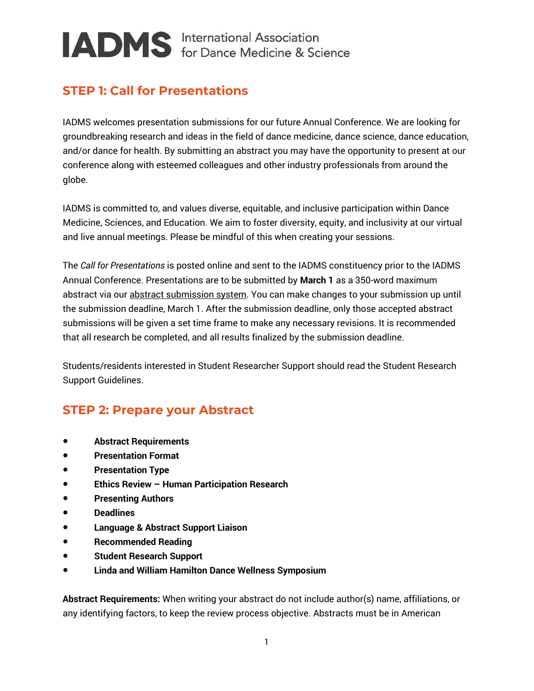#### <span id="page-1-0"></span>**STEP 1: Call for Presentations**

IADMS welcomes presentation submissions for our future Annual Conference. We are looking for groundbreaking research and ideas in the field of dance medicine, dance science, dance education, and/or dance for health. By submitting an abstract you may have the opportunity to present at our conference along with esteemed colleagues and other industry professionals from around the globe.

IADMS is committed to, and values diverse, equitable, and inclusive participation within Dance Medicine, Sciences, and Education. We aim to foster diversity, equity, and inclusivity at our virtual and live annual meetings. Please be mindful of this when creating your sessions.

The *Call for Presentations* is posted online and sent to the IADMS constituency prior to the IADMS Annual Conference. Presentations are to be submitted by **March 1** as a 350-word maximum abstract via ou[r abstract submission system.](https://www.cvent.com/c/abstracts/37f32858-eeee-404f-874c-e5a81c3548b3) You can make changes to your submission up until the submission deadline, March 1. After the submission deadline, only those accepted abstract submissions will be given a set time frame to make any necessary revisions. It is recommended that all research be completed, and all results finalized by the submission deadline.

Students/residents interested in Student Researcher Support should read the Student Research Support Guidelines.

#### <span id="page-1-1"></span>**STEP 2: Prepare your Abstract**

- **Abstract Requirements**
- **Presentation Format**
- **Presentation Type**
- **Ethics Review – Human Participation Research**
- **Presenting Authors**
- **Deadlines**
- **Language & Abstract Support Liaison**
- **Recommended Reading**
- **Student Research Support**
- **[Linda and William Hamilton Dance Wellness Symposium](#page-7-0)**

**Abstract Requirements:** When writing your abstract do not include author(s) name, affiliations, or any identifying factors, to keep the review process objective. Abstracts must be in American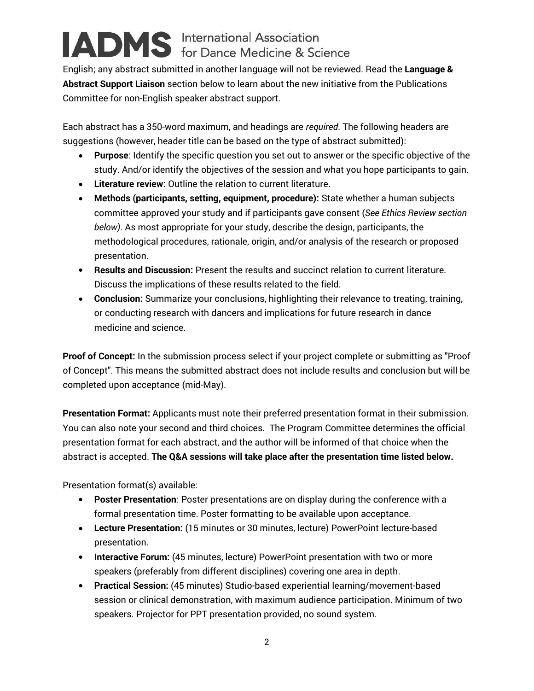English; any abstract submitted in another language will not be reviewed. Read the **Language & Abstract Support Liaison** section below to learn about the new initiative from the Publications Committee for non-English speaker abstract support.

Each abstract has a 350-word maximum, and headings are *required*. The following headers are suggestions (however, header title can be based on the type of abstract submitted):

- **Purpose**: Identify the specific question you set out to answer or the specific objective of the study. And/or identify the objectives of the session and what you hope participants to gain.
- **Literature review:** Outline the relation to current literature.
- **Methods (participants, setting, equipment, procedure):** State whether a human subjects committee approved your study and if participants gave consent (*See Ethics Review section below)*. As most appropriate for your study, describe the design, participants, the methodological procedures, rationale, origin, and/or analysis of the research or proposed presentation.
- **Results and Discussion:** Present the results and succinct relation to current literature. Discuss the implications of these results related to the field.
- **Conclusion:** Summarize your conclusions, highlighting their relevance to treating, training, or conducting research with dancers and implications for future research in dance medicine and science.

**Proof of Concept:** In the submission process select if your project complete or submitting as "Proof of Concept". This means the submitted abstract does not include results and conclusion but will be completed upon acceptance (mid-May).

**Presentation Format:** Applicants must note their preferred presentation format in their submission. You can also note your second and third choices. The Program Committee determines the official presentation format for each abstract, and the author will be informed of that choice when the abstract is accepted. **The Q&A sessions will take place after the presentation time listed below.** 

Presentation format(s) available:

- **Poster Presentation**: Poster presentations are on display during the conference with a formal presentation time. Poster formatting to be available upon acceptance.
- **Lecture Presentation:** (15 minutes or 30 minutes, lecture) PowerPoint lecture-based presentation.
- **Interactive Forum:** (45 minutes, lecture) PowerPoint presentation with two or more speakers (preferably from different disciplines) covering one area in depth.
- **Practical Session:** (45 minutes) Studio-based experiential learning/movement-based session or clinical demonstration, with maximum audience participation. Minimum of two speakers. Projector for PPT presentation provided, no sound system.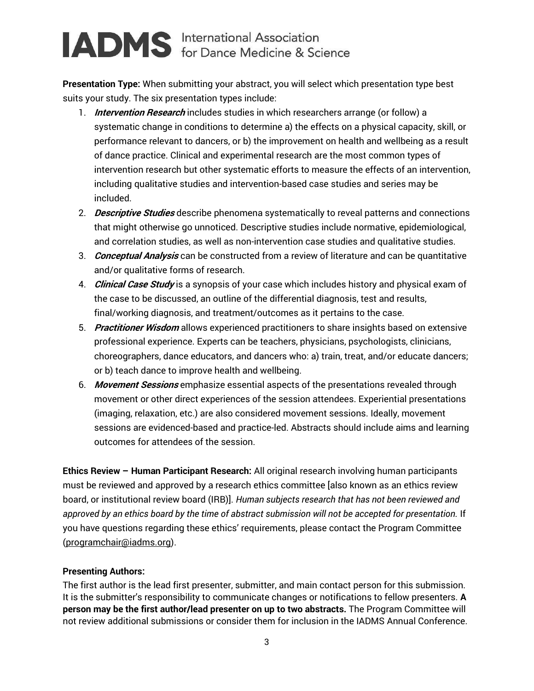**Presentation Type:** When submitting your abstract, you will select which presentation type best suits your study. The six presentation types include:

- 1. **Intervention Research** includes studies in which researchers arrange (or follow) a systematic change in conditions to determine a) the effects on a physical capacity, skill, or performance relevant to dancers, or b) the improvement on health and wellbeing as a result of dance practice. Clinical and experimental research are the most common types of intervention research but other systematic efforts to measure the effects of an intervention, including qualitative studies and intervention-based case studies and series may be included.
- 2. **Descriptive Studies** describe phenomena systematically to reveal patterns and connections that might otherwise go unnoticed. Descriptive studies include normative, epidemiological, and correlation studies, as well as non-intervention case studies and qualitative studies.
- 3. **Conceptual Analysis** can be constructed from a review of literature and can be quantitative and/or qualitative forms of research.
- 4. **Clinical Case Study** is a synopsis of your case which includes history and physical exam of the case to be discussed, an outline of the differential diagnosis, test and results, final/working diagnosis, and treatment/outcomes as it pertains to the case.
- 5. **Practitioner Wisdom** allows experienced practitioners to share insights based on extensive professional experience. Experts can be teachers, physicians, psychologists, clinicians, choreographers, dance educators, and dancers who: a) train, treat, and/or educate dancers; or b) teach dance to improve health and wellbeing.
- 6. **Movement Sessions** emphasize essential aspects of the presentations revealed through movement or other direct experiences of the session attendees. Experiential presentations (imaging, relaxation, etc.) are also considered movement sessions. Ideally, movement sessions are evidenced-based and practice-led. Abstracts should include aims and learning outcomes for attendees of the session.

**Ethics Review – Human Participant Research:** All original research involving human participants must be reviewed and approved by a research ethics committee [also known as an ethics review board, or institutional review board (IRB)]. *Human subjects research that has not been reviewed and approved by an ethics board by the time of abstract submission will not be accepted for presentation.* If you have questions regarding these ethics' requirements, please contact the Program Committee [\(programchair@iadms.org\)](mailto:programchair@iadms.org).

#### **Presenting Authors:**

The first author is the lead first presenter, submitter, and main contact person for this submission. It is the submitter's responsibility to communicate changes or notifications to fellow presenters. **A person may be the first author/lead presenter on up to two abstracts.** The Program Committee will not review additional submissions or consider them for inclusion in the IADMS Annual Conference.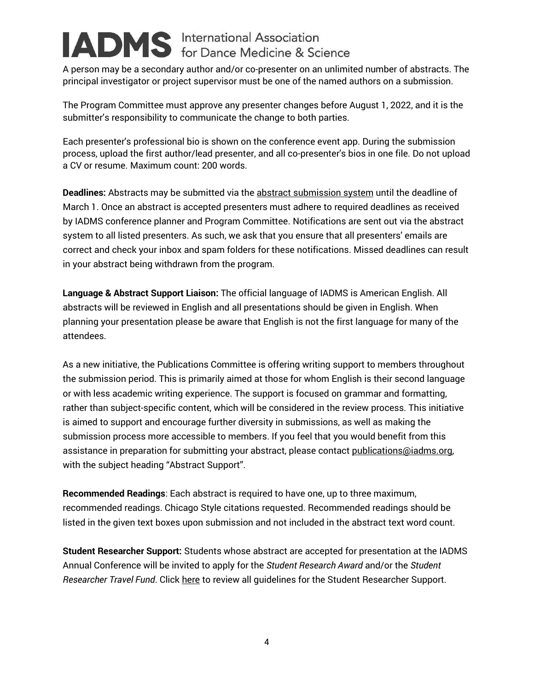A person may be a secondary author and/or co-presenter on an unlimited number of abstracts. The principal investigator or project supervisor must be one of the named authors on a submission.

The Program Committee must approve any presenter changes before August 1, 2022, and it is the submitter's responsibility to communicate the change to both parties.

Each presenter's professional bio is shown on the conference event app. During the submission process, upload the first author/lead presenter, and all co-presenter's bios in one file. Do not upload a CV or resume. Maximum count: 200 words.

**Deadlines:** Abstracts may be submitted via the [abstract submission system](https://www.cvent.com/c/abstracts/37f32858-eeee-404f-874c-e5a81c3548b3) until the deadline of March 1. Once an abstract is accepted presenters must adhere to required deadlines as received by IADMS conference planner and Program Committee. Notifications are sent out via the abstract system to all listed presenters. As such, we ask that you ensure that all presenters' emails are correct and check your inbox and spam folders for these notifications. Missed deadlines can result in your abstract being withdrawn from the program.

**Language & Abstract Support Liaison:** The official language of IADMS is American English. All abstracts will be reviewed in English and all presentations should be given in English. When planning your presentation please be aware that English is not the first language for many of the attendees.

As a new initiative, the Publications Committee is offering writing support to members throughout the submission period. This is primarily aimed at those for whom English is their second language or with less academic writing experience. The support is focused on grammar and formatting, rather than subject-specific content, which will be considered in the review process. This initiative is aimed to support and encourage further diversity in submissions, as well as making the submission process more accessible to members. If you feel that you would benefit from this assistance in preparation for submitting your abstract, please contact publications@iadms.org, with the subject heading "Abstract Support".

**Recommended Readings**: Each abstract is required to have one, up to three maximum, recommended readings. Chicago Style citations requested. Recommended readings should be listed in the given text boxes upon submission and not included in the abstract text word count.

<span id="page-4-0"></span>**Student Researcher Support:** Students whose abstract are accepted for presentation at the IADMS Annual Conference will be invited to apply for the *Student Research Award* and/or the *Student Researcher Travel Fund*. Clic[k here](#page-6-0) to review all guidelines for the Student Researcher Support.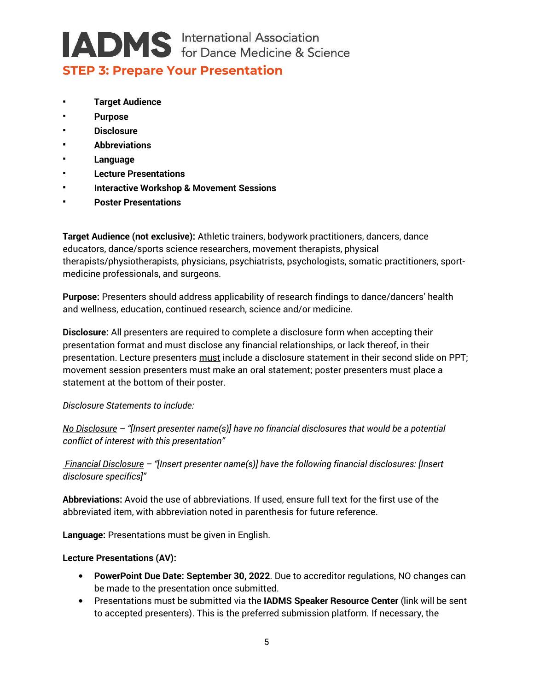#### **STEP 3: Prepare Your Presentation**

- **[Target Audience](#page-5-0)**
- **[Purpose](#page-5-1)**
- **[Disclosure](#page-5-2)**
- **[Abbreviations](#page-5-3)**
- **[Language](#page-5-4)**
- **[Lecture Presentations](#page-5-4)**
- **[Interactive Workshop & Movement Sessions](#page-6-1)**
- **[Poster Presentations](#page-6-2)**

<span id="page-5-0"></span>**Target Audience (not exclusive):** Athletic trainers, bodywork practitioners, dancers, dance educators, dance/sports science researchers, movement therapists, physical therapists/physiotherapists, physicians, psychiatrists, psychologists, somatic practitioners, sportmedicine professionals, and surgeons.

<span id="page-5-1"></span>**Purpose:** Presenters should address applicability of research findings to dance/dancers' health and wellness, education, continued research, science and/or medicine.

<span id="page-5-2"></span>**Disclosure:** All presenters are required to complete a disclosure form when accepting their presentation format and must disclose any financial relationships, or lack thereof, in their presentation. Lecture presenters must include a disclosure statement in their second slide on PPT; movement session presenters must make an oral statement; poster presenters must place a statement at the bottom of their poster.

*Disclosure Statements to include:*

*No Disclosure – "[Insert presenter name(s)] have no financial disclosures that would be a potential conflict of interest with this presentation"* 

*Financial Disclosure – "[Insert presenter name(s)] have the following financial disclosures: [Insert disclosure specifics]"*

<span id="page-5-3"></span>**Abbreviations:** Avoid the use of abbreviations. If used, ensure full text for the first use of the abbreviated item, with abbreviation noted in parenthesis for future reference.

<span id="page-5-4"></span>**Language:** Presentations must be given in English.

#### **Lecture Presentations (AV):**

- **PowerPoint Due Date: September 30, 2022**. Due to accreditor regulations, NO changes can be made to the presentation once submitted.
- Presentations must be submitted via the **IADMS Speaker Resource Center** (link will be sent to accepted presenters). This is the preferred submission platform. If necessary, the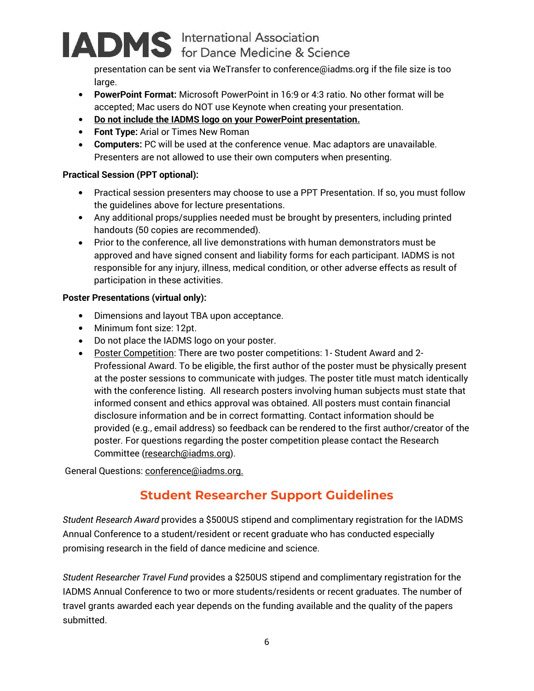presentation can be sent via WeTransfer to conference@iadms.org if the file size is too large.

- **PowerPoint Format:** Microsoft PowerPoint in 16:9 or 4:3 ratio. No other format will be accepted; Mac users do NOT use Keynote when creating your presentation.
- **Do not include the IADMS logo on your PowerPoint presentation.**
- **Font Type:** Arial or Times New Roman
- **Computers:** PC will be used at the conference venue. Mac adaptors are unavailable. Presenters are not allowed to use their own computers when presenting.

#### <span id="page-6-1"></span>**Practical Session (PPT optional):**

- Practical session presenters may choose to use a PPT Presentation. If so, you must follow the guidelines above for lecture presentations.
- Any additional props/supplies needed must be brought by presenters, including printed handouts (50 copies are recommended).
- Prior to the conference, all live demonstrations with human demonstrators must be approved and have signed consent and liability forms for each participant. IADMS is not responsible for any injury, illness, medical condition, or other adverse effects as result of participation in these activities.

#### <span id="page-6-2"></span>**Poster Presentations (virtual only):**

- Dimensions and layout TBA upon acceptance.
- Minimum font size: 12pt.
- Do not place the IADMS logo on your poster.
- Poster Competition: There are two poster competitions: 1- Student Award and 2-Professional Award. To be eligible, the first author of the poster must be physically present at the poster sessions to communicate with judges. The poster title must match identically with the conference listing. All research posters involving human subjects must state that informed consent and ethics approval was obtained. All posters must contain financial disclosure information and be in correct formatting. Contact information should be provided (e.g., email address) so feedback can be rendered to the first author/creator of the poster. For questions regarding the poster competition please contact the Research Committee [\(research@iadms.org\)](mailto:research@iadms.org).

General Questions[: conference@iadms.org.](mailto:conference@iadms.org)

#### <span id="page-6-0"></span>**Student Researcher Support Guidelines**

*Student Research Award* provides a \$500US stipend and complimentary registration for the IADMS Annual Conference to a student/resident or recent graduate who has conducted especially promising research in the field of dance medicine and science.

*Student Researcher Travel Fund* provides a \$250US stipend and complimentary registration for the IADMS Annual Conference to two or more students/residents or recent graduates. The number of travel grants awarded each year depends on the funding available and the quality of the papers submitted.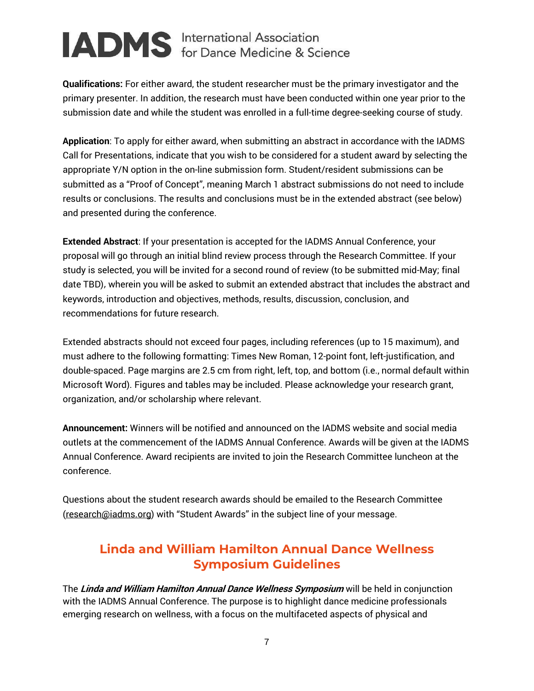**Qualifications:** For either award, the student researcher must be the primary investigator and the primary presenter. In addition, the research must have been conducted within one year prior to the submission date and while the student was enrolled in a full-time degree-seeking course of study.

**Application**: To apply for either award, when submitting an abstract in accordance with the IADMS Call for Presentations, indicate that you wish to be considered for a student award by selecting the appropriate Y/N option in the on-line submission form. Student/resident submissions can be submitted as a "Proof of Concept", meaning March 1 abstract submissions do not need to include results or conclusions. The results and conclusions must be in the extended abstract (see below) and presented during the conference.

**Extended Abstract**: If your presentation is accepted for the IADMS Annual Conference, your proposal will go through an initial blind review process through the Research Committee. If your study is selected, you will be invited for a second round of review (to be submitted mid-May; final date TBD), wherein you will be asked to submit an extended abstract that includes the abstract and keywords, introduction and objectives, methods, results, discussion, conclusion, and recommendations for future research.

Extended abstracts should not exceed four pages, including references (up to 15 maximum), and must adhere to the following formatting: Times New Roman, 12-point font, left-justification, and double-spaced. Page margins are 2.5 cm from right, left, top, and bottom (i.e., normal default within Microsoft Word). Figures and tables may be included. Please acknowledge your research grant, organization, and/or scholarship where relevant.

**Announcement:** Winners will be notified and announced on the IADMS website and social media outlets at the commencement of the IADMS Annual Conference. Awards will be given at the IADMS Annual Conference. Award recipients are invited to join the Research Committee luncheon at the conference.

Questions about the student research awards should be emailed to the Research Committee [\(research@iadms.org\)](mailto:research@iadms.org) with "Student Awards" in the subject line of your message.

#### <span id="page-7-0"></span>**Linda and William Hamilton Annual Dance Wellness Symposium Guidelines**

The **Linda and William Hamilton Annual Dance Wellness Symposium** will be held in conjunction with the IADMS Annual Conference. The purpose is to highlight dance medicine professionals emerging research on wellness, with a focus on the multifaceted aspects of physical and